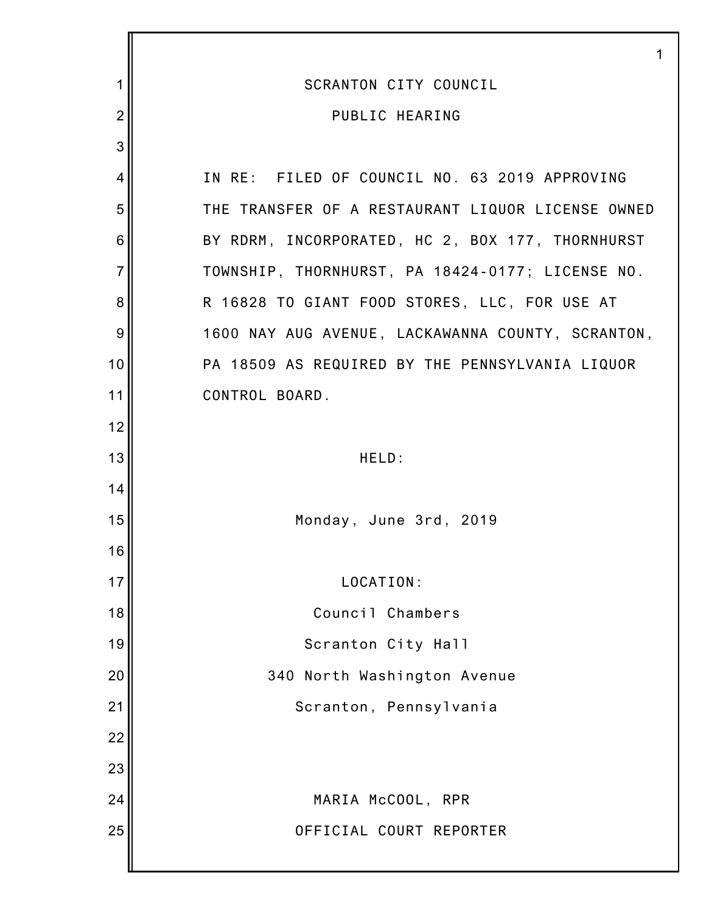|                | 1                                                 |
|----------------|---------------------------------------------------|
| 1              | <b>SCRANTON CITY COUNCIL</b>                      |
| $\overline{2}$ | PUBLIC HEARING                                    |
| 3              |                                                   |
| 4              | IN RE: FILED OF COUNCIL NO. 63 2019 APPROVING     |
| 5              | THE TRANSFER OF A RESTAURANT LIQUOR LICENSE OWNED |
| 6              | BY RDRM, INCORPORATED, HC 2, BOX 177, THORNHURST  |
| $\overline{7}$ | TOWNSHIP, THORNHURST, PA 18424-0177; LICENSE NO.  |
| 8              | R 16828 TO GIANT FOOD STORES, LLC, FOR USE AT     |
| 9              | 1600 NAY AUG AVENUE, LACKAWANNA COUNTY, SCRANTON, |
| 10             | PA 18509 AS REQUIRED BY THE PENNSYLVANIA LIQUOR   |
| 11             | CONTROL BOARD.                                    |
| 12             |                                                   |
| 13             | HELD:                                             |
| 14             |                                                   |
| 15             | Monday, June 3rd, 2019                            |
| 16             |                                                   |
| 17             | LOCATION:                                         |
| 18             | Council Chambers                                  |
| 19             | Scranton City Hall                                |
| 20             | 340 North Washington Avenue                       |
| 21             | Scranton, Pennsylvania                            |
| 22             |                                                   |
| 23             |                                                   |
| 24             | MARIA McCOOL, RPR                                 |
| 25             | OFFICIAL COURT REPORTER                           |
|                |                                                   |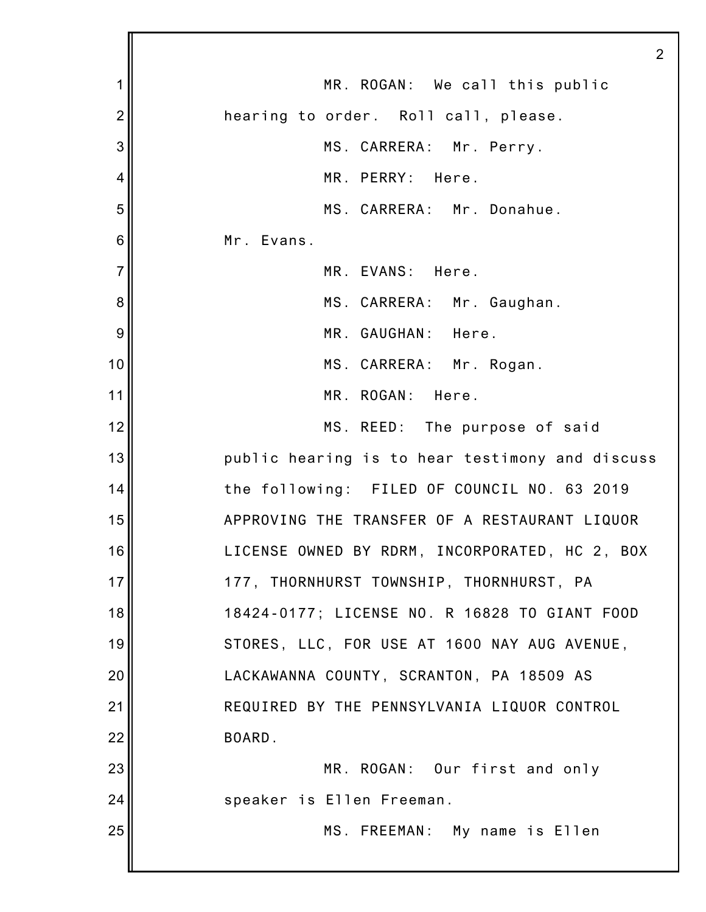1 2 3 4 5 6 7 8 9 10 11 12 13 14 15 16 17 18 19 20 21 22 23 24 25 2 MR. ROGAN: We call this public hearing to order. Roll call, please. MS. CARRERA: Mr. Perry. MR. PERRY: Here. MS. CARRERA: Mr. Donahue. Mr. Evans. MR. EVANS: Here. MS. CARRERA: Mr. Gaughan. MR. GAUGHAN: Here. MS. CARRERA: Mr. Rogan. MR. ROGAN: Here. MS. REED: The purpose of said public hearing is to hear testimony and discuss the following: FILED OF COUNCIL NO. 63 2019 APPROVING THE TRANSFER OF A RESTAURANT LIQUOR LICENSE OWNED BY RDRM, INCORPORATED, HC 2, BOX 177, THORNHURST TOWNSHIP, THORNHURST, PA 18424-0177; LICENSE NO. R 16828 TO GIANT FOOD STORES, LLC, FOR USE AT 1600 NAY AUG AVENUE, LACKAWANNA COUNTY, SCRANTON, PA 18509 AS REQUIRED BY THE PENNSYLVANIA LIQUOR CONTROL BOARD. MR. ROGAN: Our first and only speaker is Ellen Freeman. MS. FREEMAN: My name is Ellen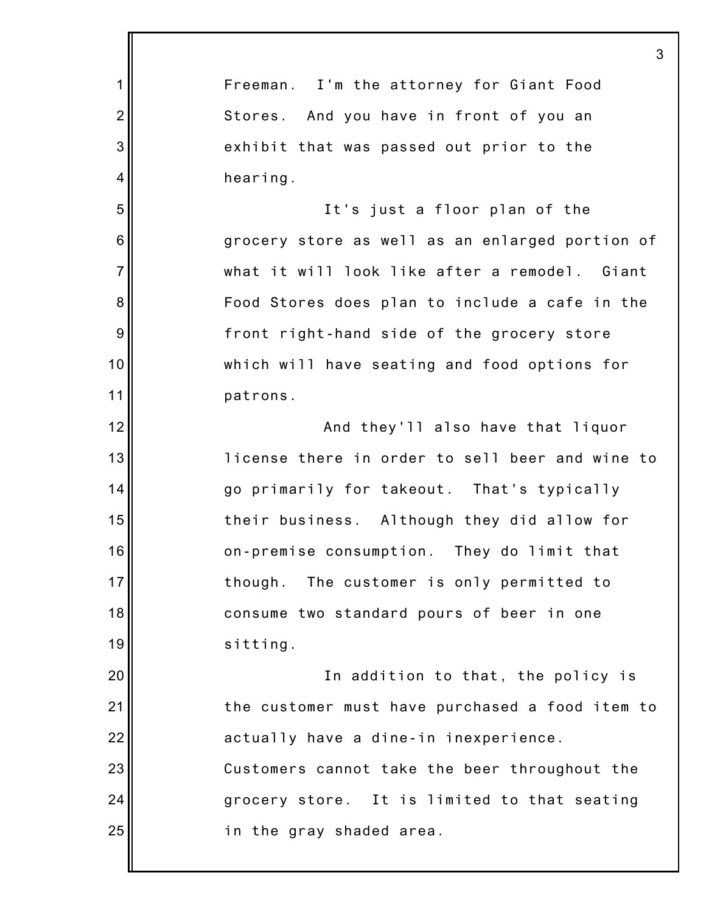|                | 3                                               |
|----------------|-------------------------------------------------|
| 1              | Freeman. I'm the attorney for Giant Food        |
| $\overline{2}$ | Stores. And you have in front of you an         |
| 3              | exhibit that was passed out prior to the        |
| 4              | hearing.                                        |
| 5              | It's just a floor plan of the                   |
| 6              | grocery store as well as an enlarged portion of |
| $\overline{7}$ | what it will look like after a remodel. Giant   |
| 8              | Food Stores does plan to include a cafe in the  |
| 9              | front right-hand side of the grocery store      |
| 10             | which will have seating and food options for    |
| 11             | patrons.                                        |
| 12             | And they'll also have that liquor               |
| 13             | license there in order to sell beer and wine to |
| 14             | go primarily for takeout. That's typically      |
| 15             | their business. Although they did allow for     |
| 16             | on-premise consumption. They do limit that      |
| 17             | though. The customer is only permitted to       |
| 18             | consume two standard pours of beer in one       |
| 19             | sitting.                                        |
| 20             | In addition to that, the policy is              |
| 21             | the customer must have purchased a food item to |
| 22             | actually have a dine-in inexperience.           |
| 23             | Customers cannot take the beer throughout the   |
| 24             | grocery store. It is limited to that seating    |
| 25             | in the gray shaded area.                        |
|                |                                                 |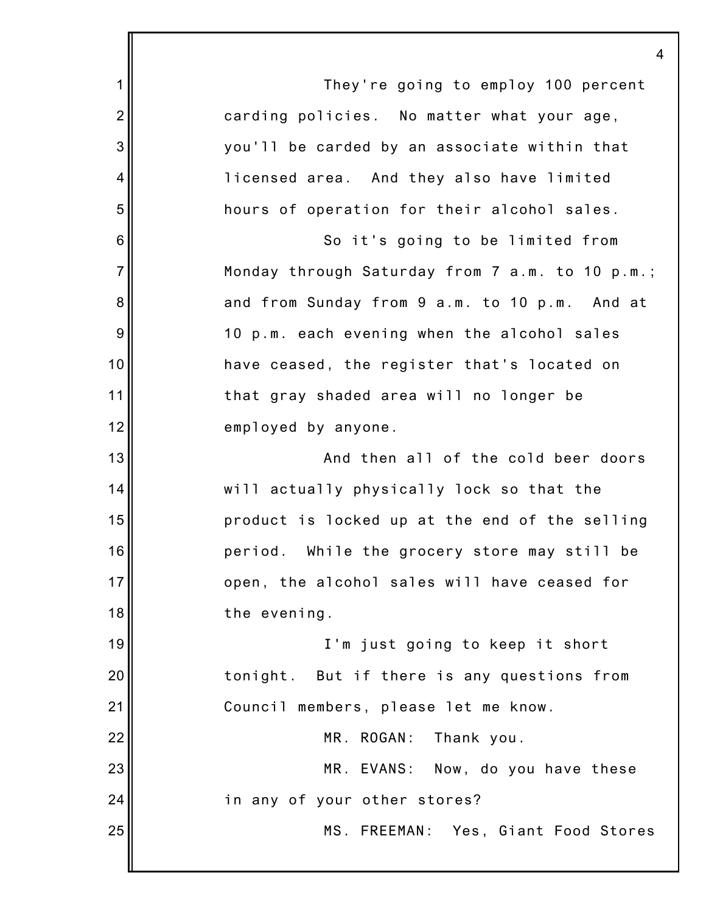|                 | 4                                               |
|-----------------|-------------------------------------------------|
| 1               | They're going to employ 100 percent             |
| $\overline{2}$  | carding policies. No matter what your age,      |
| 3               | you'll be carded by an associate within that    |
| 4               | licensed area. And they also have limited       |
| 5               | hours of operation for their alcohol sales.     |
| $6\phantom{1}6$ | So it's going to be limited from                |
| $\overline{7}$  | Monday through Saturday from 7 a.m. to 10 p.m.; |
| 8               | and from Sunday from 9 a.m. to 10 p.m. And at   |
| 9               | 10 p.m. each evening when the alcohol sales     |
| 10              | have ceased, the register that's located on     |
| 11              | that gray shaded area will no longer be         |
| 12              | employed by anyone.                             |
| 13              | And then all of the cold beer doors             |
| 14              | will actually physically lock so that the       |
| 15              | product is locked up at the end of the selling  |
| 16              | period. While the grocery store may still be    |
| 17              | open, the alcohol sales will have ceased for    |
| 18              | the evening.                                    |
| 19              | I'm just going to keep it short                 |
| 20              | tonight. But if there is any questions from     |
| 21              | Council members, please let me know.            |
| 22              | MR. ROGAN: Thank you.                           |
| 23              | MR. EVANS: Now, do you have these               |
| 24              | in any of your other stores?                    |
| 25              | MS. FREEMAN: Yes, Giant Food Stores             |
|                 |                                                 |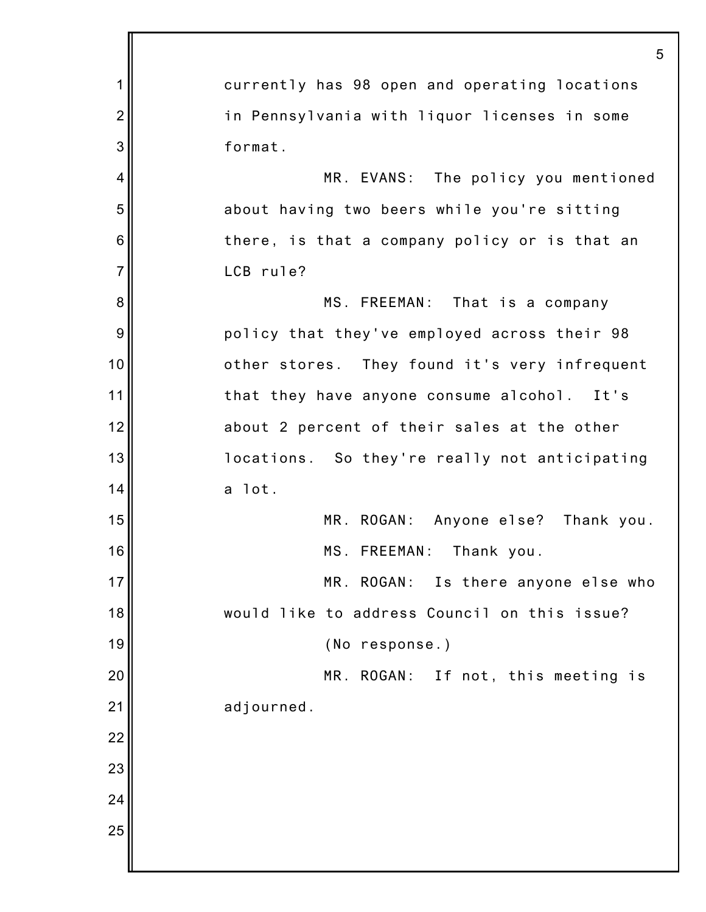1 2 3 4 5 6 7 8 9 10 11 12 13 14 15 16 17 18 19 20 21 22 23 24 25 5 currently has 98 open and operating locations in Pennsylvania with liquor licenses in some format. MR. EVANS: The policy you mentioned about having two beers while you're sitting there, is that a company policy or is that an LCB rule? MS. FREEMAN: That is a company policy that they've employed across their 98 other stores. They found it's very infrequent that they have anyone consume alcohol. It's about 2 percent of their sales at the other locations. So they're really not anticipating a lot. MR. ROGAN: Anyone else? Thank you. MS. FREEMAN: Thank you. MR. ROGAN: Is there anyone else who would like to address Council on this issue? (No response.) MR. ROGAN: If not, this meeting is adjourned.